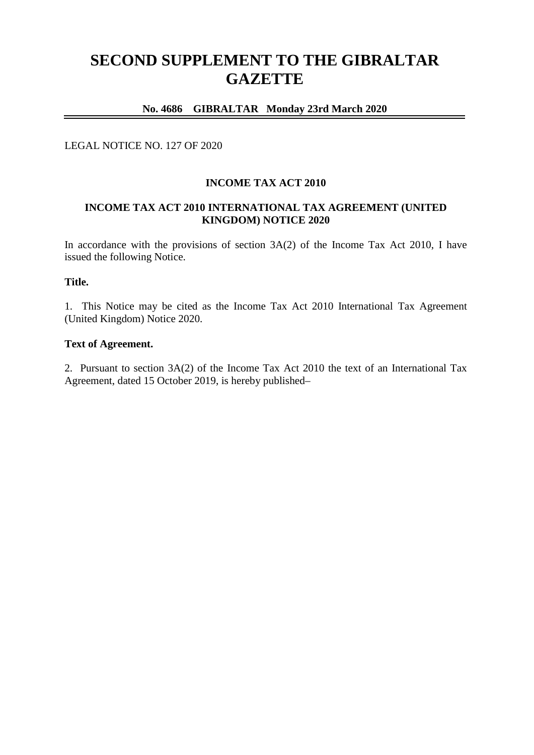# **SECOND SUPPLEMENT TO THE GIBRALTAR GAZETTE**

# **No. 4686 GIBRALTAR Monday 23rd March 2020**

#### LEGAL NOTICE NO. 127 OF 2020

## **INCOME TAX ACT 2010**

# **INCOME TAX ACT 2010 INTERNATIONAL TAX AGREEMENT (UNITED KINGDOM) NOTICE 2020**

In accordance with the provisions of section  $3A(2)$  of the Income Tax Act 2010, I have issued the following Notice.

#### **Title.**

1. This Notice may be cited as the Income Tax Act 2010 International Tax Agreement (United Kingdom) Notice 2020.

## **Text of Agreement.**

2. Pursuant to section 3A(2) of the Income Tax Act 2010 the text of an International Tax Agreement, dated 15 October 2019, is hereby published–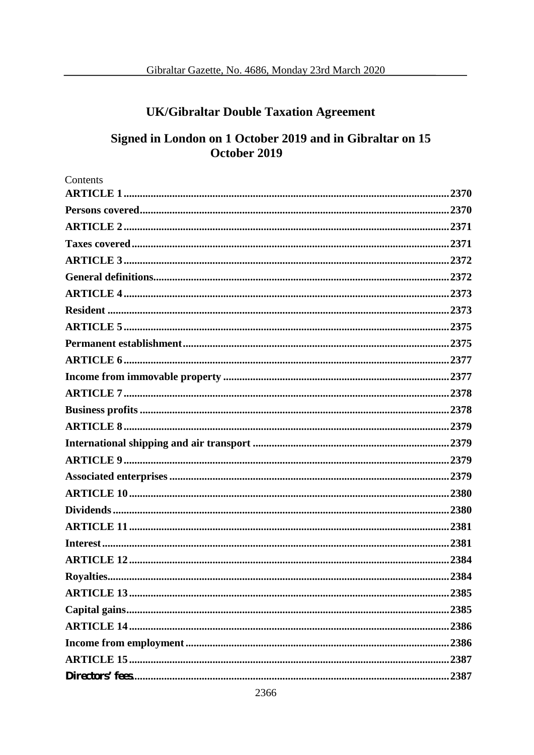# **UK/Gibraltar Double Taxation Agreement**

# Signed in London on 1 October 2019 and in Gibraltar on 15 October 2019

| Contents |
|----------|
|          |
|          |
|          |
|          |
|          |
|          |
|          |
|          |
|          |
|          |
|          |
|          |
|          |
|          |
|          |
|          |
|          |
|          |
|          |
|          |
|          |
|          |
|          |
| 2384     |
|          |
|          |
|          |
|          |
|          |
|          |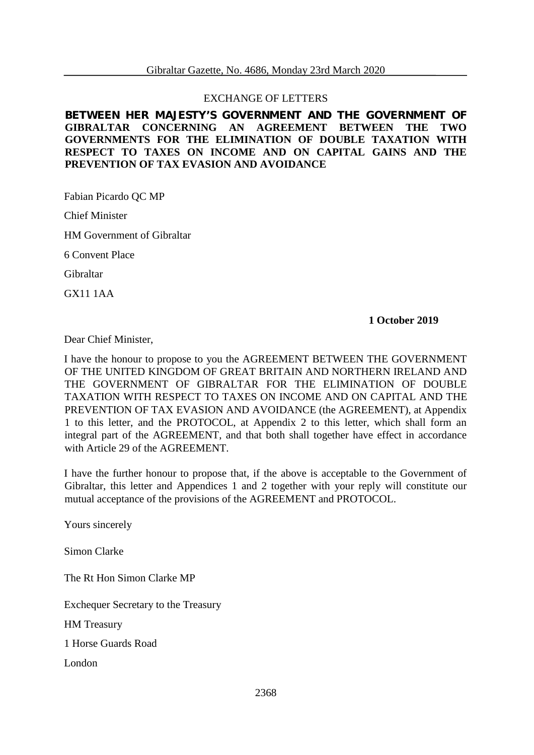## EXCHANGE OF LETTERS

# **BETWEEN HER MAJESTY'S GOVERNMENT AND THE GOVERNMENT OF GIBRALTAR CONCERNING AN AGREEMENT BETWEEN THE TWO GOVERNMENTS FOR THE ELIMINATION OF DOUBLE TAXATION WITH RESPECT TO TAXES ON INCOME AND ON CAPITAL GAINS AND THE PREVENTION OF TAX EVASION AND AVOIDANCE**

Fabian Picardo QC MP

Chief Minister

HM Government of Gibraltar

6 Convent Place

Gibraltar

GX11 1AA

# **1 October 2019**

Dear Chief Minister,

I have the honour to propose to you the AGREEMENT BETWEEN THE GOVERNMENT OF THE UNITED KINGDOM OF GREAT BRITAIN AND NORTHERN IRELAND AND THE GOVERNMENT OF GIBRALTAR FOR THE ELIMINATION OF DOUBLE TAXATION WITH RESPECT TO TAXES ON INCOME AND ON CAPITAL AND THE PREVENTION OF TAX EVASION AND AVOIDANCE (the AGREEMENT), at Appendix 1 to this letter, and the PROTOCOL, at Appendix 2 to this letter, which shall form an integral part of the AGREEMENT, and that both shall together have effect in accordance with Article 29 of the AGREEMENT.

I have the further honour to propose that, if the above is acceptable to the Government of Gibraltar, this letter and Appendices 1 and 2 together with your reply will constitute our mutual acceptance of the provisions of the AGREEMENT and PROTOCOL.

Yours sincerely

Simon Clarke

The Rt Hon Simon Clarke MP

Exchequer Secretary to the Treasury

HM Treasury

1 Horse Guards Road

London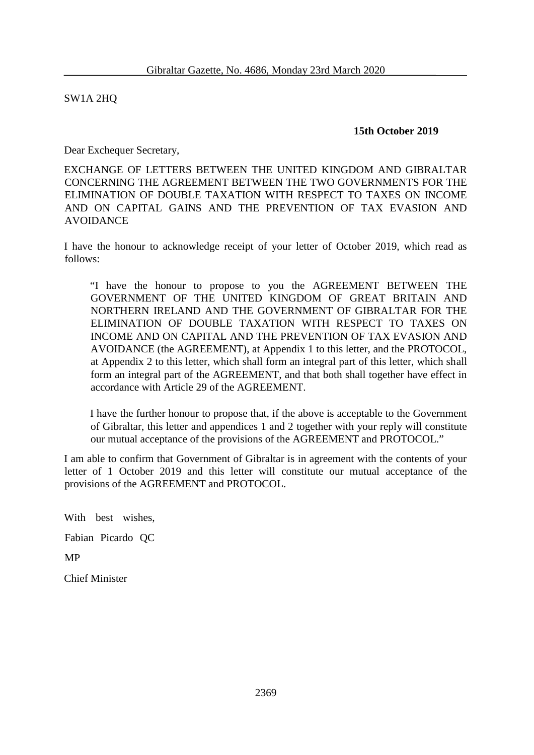SW1A 2HQ

# **15th October 2019**

Dear Exchequer Secretary,

EXCHANGE OF LETTERS BETWEEN THE UNITED KINGDOM AND GIBRALTAR CONCERNING THE AGREEMENT BETWEEN THE TWO GOVERNMENTS FOR THE ELIMINATION OF DOUBLE TAXATION WITH RESPECT TO TAXES ON INCOME AND ON CAPITAL GAINS AND THE PREVENTION OF TAX EVASION AND AVOIDANCE

I have the honour to acknowledge receipt of your letter of October 2019, which read as follows:

"I have the honour to propose to you the AGREEMENT BETWEEN THE GOVERNMENT OF THE UNITED KINGDOM OF GREAT BRITAIN AND NORTHERN IRELAND AND THE GOVERNMENT OF GIBRALTAR FOR THE ELIMINATION OF DOUBLE TAXATION WITH RESPECT TO TAXES ON INCOME AND ON CAPITAL AND THE PREVENTION OF TAX EVASION AND AVOIDANCE (the AGREEMENT), at Appendix 1 to this letter, and the PROTOCOL, at Appendix 2 to this letter, which shall form an integral part of this letter, which shall form an integral part of the AGREEMENT, and that both shall together have effect in accordance with Article 29 of the AGREEMENT.

I have the further honour to propose that, if the above is acceptable to the Government of Gibraltar, this letter and appendices 1 and 2 together with your reply will constitute our mutual acceptance of the provisions of the AGREEMENT and PROTOCOL."

I am able to confirm that Government of Gibraltar is in agreement with the contents of your letter of 1 October 2019 and this letter will constitute our mutual acceptance of the provisions of the AGREEMENT and PROTOCOL.

With best wishes, Fabian Picardo QC MP Chief Minister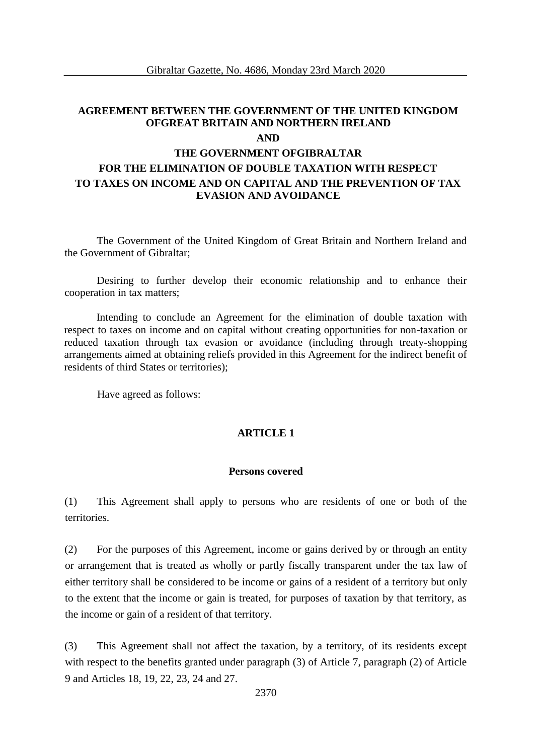# **AGREEMENT BETWEEN THE GOVERNMENT OF THE UNITED KINGDOM OFGREAT BRITAIN AND NORTHERN IRELAND**

#### **AND**

# **THE GOVERNMENT OFGIBRALTAR FOR THE ELIMINATION OF DOUBLE TAXATION WITH RESPECT TO TAXES ON INCOME AND ON CAPITAL AND THE PREVENTION OF TAX EVASION AND AVOIDANCE**

The Government of the United Kingdom of Great Britain and Northern Ireland and the Government of Gibraltar;

Desiring to further develop their economic relationship and to enhance their cooperation in tax matters;

Intending to conclude an Agreement for the elimination of double taxation with respect to taxes on income and on capital without creating opportunities for non-taxation or reduced taxation through tax evasion or avoidance (including through treaty-shopping arrangements aimed at obtaining reliefs provided in this Agreement for the indirect benefit of residents of third States or territories);

Have agreed as follows:

#### **ARTICLE 1**

#### **Persons covered**

(1) This Agreement shall apply to persons who are residents of one or both of the territories.

(2) For the purposes of this Agreement, income or gains derived by or through an entity or arrangement that is treated as wholly or partly fiscally transparent under the tax law of either territory shall be considered to be income or gains of a resident of a territory but only to the extent that the income or gain is treated, for purposes of taxation by that territory, as the income or gain of a resident of that territory.

(3) This Agreement shall not affect the taxation, by a territory, of its residents except with respect to the benefits granted under paragraph (3) of Article 7, paragraph (2) of Article 9 and Articles 18, 19, 22, 23, 24 and 27.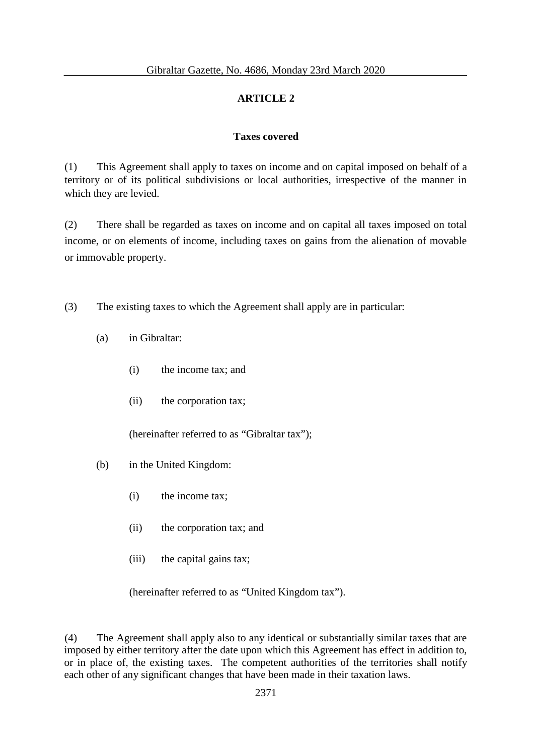## **Taxes covered**

(1) This Agreement shall apply to taxes on income and on capital imposed on behalf of a territory or of its political subdivisions or local authorities, irrespective of the manner in which they are levied.

(2) There shall be regarded as taxes on income and on capital all taxes imposed on total income, or on elements of income, including taxes on gains from the alienation of movable or immovable property.

- (3) The existing taxes to which the Agreement shall apply are in particular:
	- (a) in Gibraltar:
		- (i) the income tax; and
		- (ii) the corporation tax;

(hereinafter referred to as "Gibraltar tax");

- (b) in the United Kingdom:
	- (i) the income tax;
	- (ii) the corporation tax; and
	- (iii) the capital gains tax;

(hereinafter referred to as "United Kingdom tax").

(4) The Agreement shall apply also to any identical or substantially similar taxes that are imposed by either territory after the date upon which this Agreement has effect in addition to, or in place of, the existing taxes. The competent authorities of the territories shall notify each other of any significant changes that have been made in their taxation laws.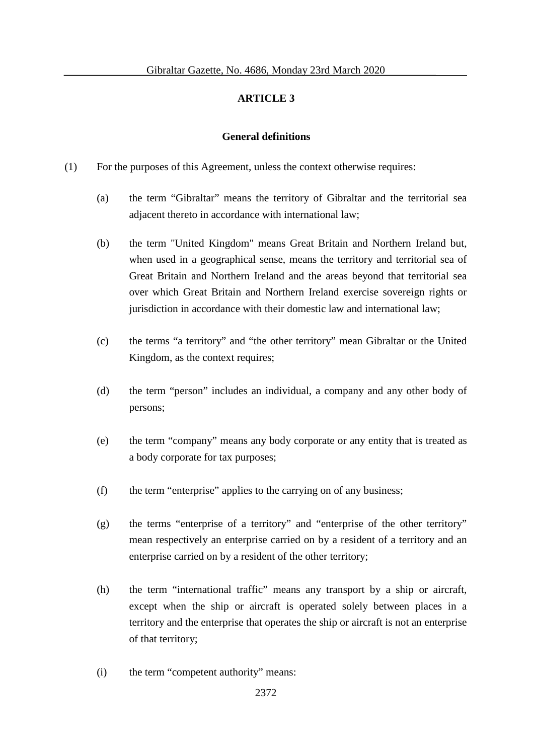## **General definitions**

- (1) For the purposes of this Agreement, unless the context otherwise requires:
	- (a) the term "Gibraltar" means the territory of Gibraltar and the territorial sea adjacent thereto in accordance with international law;
	- (b) the term "United Kingdom" means Great Britain and Northern Ireland but, when used in a geographical sense, means the territory and territorial sea of Great Britain and Northern Ireland and the areas beyond that territorial sea over which Great Britain and Northern Ireland exercise sovereign rights or jurisdiction in accordance with their domestic law and international law;
	- (c) the terms "a territory" and "the other territory" mean Gibraltar or the United Kingdom, as the context requires;
	- (d) the term "person" includes an individual, a company and any other body of persons;
	- (e) the term "company" means any body corporate or any entity that is treated as a body corporate for tax purposes;
	- (f) the term "enterprise" applies to the carrying on of any business;
	- (g) the terms "enterprise of a territory" and "enterprise of the other territory" mean respectively an enterprise carried on by a resident of a territory and an enterprise carried on by a resident of the other territory;
	- (h) the term "international traffic" means any transport by a ship or aircraft, except when the ship or aircraft is operated solely between places in a territory and the enterprise that operates the ship or aircraft is not an enterprise of that territory;
	- (i) the term "competent authority" means: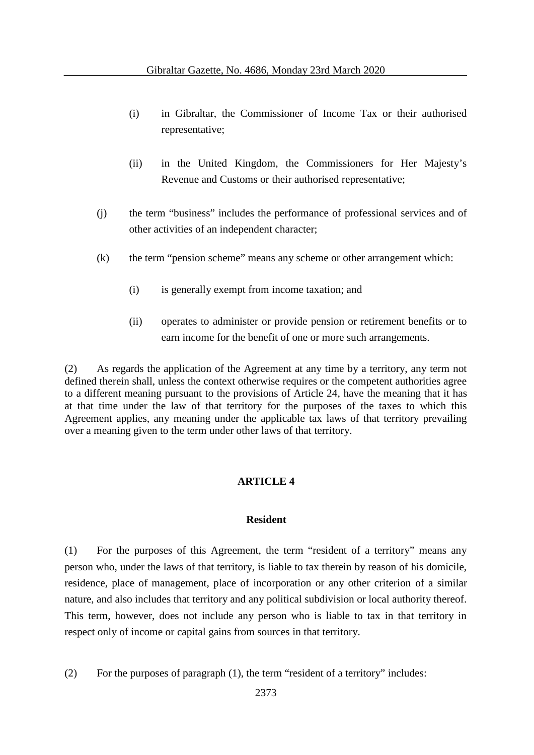- (i) in Gibraltar, the Commissioner of Income Tax or their authorised representative;
- (ii) in the United Kingdom, the Commissioners for Her Majesty's Revenue and Customs or their authorised representative;
- (j) the term "business" includes the performance of professional services and of other activities of an independent character;
- (k) the term "pension scheme" means any scheme or other arrangement which:
	- (i) is generally exempt from income taxation; and
	- (ii) operates to administer or provide pension or retirement benefits or to earn income for the benefit of one or more such arrangements.

(2) As regards the application of the Agreement at any time by a territory, any term not defined therein shall, unless the context otherwise requires or the competent authorities agree to a different meaning pursuant to the provisions of Article 24, have the meaning that it has at that time under the law of that territory for the purposes of the taxes to which this Agreement applies, any meaning under the applicable tax laws of that territory prevailing over a meaning given to the term under other laws of that territory.

## **ARTICLE 4**

#### **Resident**

(1) For the purposes of this Agreement, the term "resident of a territory" means any person who, under the laws of that territory, is liable to tax therein by reason of his domicile, residence, place of management, place of incorporation or any other criterion of a similar nature, and also includes that territory and any political subdivision or local authority thereof. This term, however, does not include any person who is liable to tax in that territory in respect only of income or capital gains from sources in that territory.

(2) For the purposes of paragraph (1), the term "resident of a territory" includes: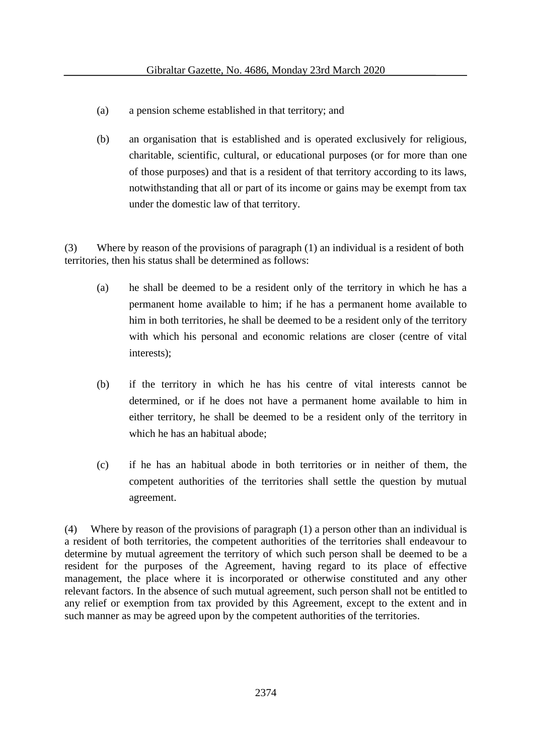- (a) a pension scheme established in that territory; and
- (b) an organisation that is established and is operated exclusively for religious, charitable, scientific, cultural, or educational purposes (or for more than one of those purposes) and that is a resident of that territory according to its laws, notwithstanding that all or part of its income or gains may be exempt from tax under the domestic law of that territory.

(3) Where by reason of the provisions of paragraph (1) an individual is a resident of both territories, then his status shall be determined as follows:

- (a) he shall be deemed to be a resident only of the territory in which he has a permanent home available to him; if he has a permanent home available to him in both territories, he shall be deemed to be a resident only of the territory with which his personal and economic relations are closer (centre of vital interests);
- (b) if the territory in which he has his centre of vital interests cannot be determined, or if he does not have a permanent home available to him in either territory, he shall be deemed to be a resident only of the territory in which he has an habitual abode;
- (c) if he has an habitual abode in both territories or in neither of them, the competent authorities of the territories shall settle the question by mutual agreement.

(4) Where by reason of the provisions of paragraph (1) a person other than an individual is a resident of both territories, the competent authorities of the territories shall endeavour to determine by mutual agreement the territory of which such person shall be deemed to be a resident for the purposes of the Agreement, having regard to its place of effective management, the place where it is incorporated or otherwise constituted and any other relevant factors. In the absence of such mutual agreement, such person shall not be entitled to any relief or exemption from tax provided by this Agreement, except to the extent and in such manner as may be agreed upon by the competent authorities of the territories.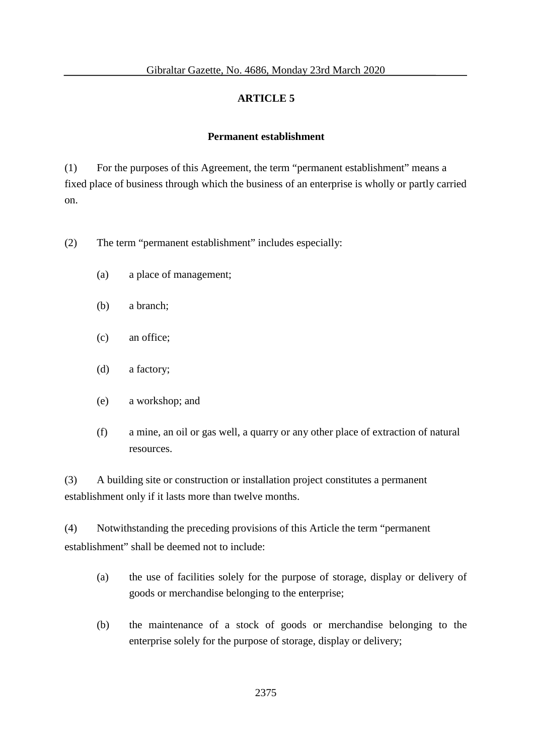## **Permanent establishment**

(1) For the purposes of this Agreement, the term "permanent establishment" means a fixed place of business through which the business of an enterprise is wholly or partly carried on.

(2) The term "permanent establishment" includes especially:

- (a) a place of management;
- (b) a branch;
- (c) an office;
- (d) a factory;
- (e) a workshop; and
- (f) a mine, an oil or gas well, a quarry or any other place of extraction of natural resources.

(3) A building site or construction or installation project constitutes a permanent establishment only if it lasts more than twelve months.

(4) Notwithstanding the preceding provisions of this Article the term "permanent establishment" shall be deemed not to include:

- (a) the use of facilities solely for the purpose of storage, display or delivery of goods or merchandise belonging to the enterprise;
- (b) the maintenance of a stock of goods or merchandise belonging to the enterprise solely for the purpose of storage, display or delivery;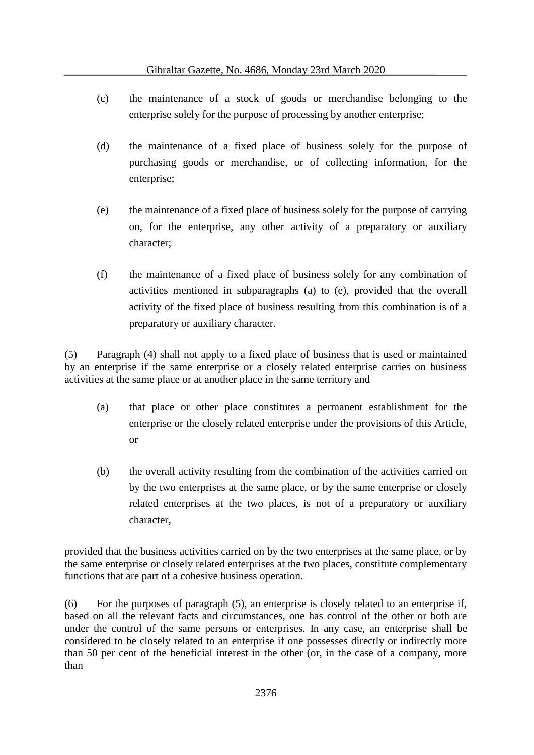- (c) the maintenance of a stock of goods or merchandise belonging to the enterprise solely for the purpose of processing by another enterprise;
- (d) the maintenance of a fixed place of business solely for the purpose of purchasing goods or merchandise, or of collecting information, for the enterprise;
- (e) the maintenance of a fixed place of business solely for the purpose of carrying on, for the enterprise, any other activity of a preparatory or auxiliary character;
- (f) the maintenance of a fixed place of business solely for any combination of activities mentioned in subparagraphs (a) to (e), provided that the overall activity of the fixed place of business resulting from this combination is of a preparatory or auxiliary character.

(5) Paragraph (4) shall not apply to a fixed place of business that is used or maintained by an enterprise if the same enterprise or a closely related enterprise carries on business activities at the same place or at another place in the same territory and

- (a) that place or other place constitutes a permanent establishment for the enterprise or the closely related enterprise under the provisions of this Article, or
- (b) the overall activity resulting from the combination of the activities carried on by the two enterprises at the same place, or by the same enterprise or closely related enterprises at the two places, is not of a preparatory or auxiliary character,

provided that the business activities carried on by the two enterprises at the same place, or by the same enterprise or closely related enterprises at the two places, constitute complementary functions that are part of a cohesive business operation.

(6) For the purposes of paragraph (5), an enterprise is closely related to an enterprise if, based on all the relevant facts and circumstances, one has control of the other or both are under the control of the same persons or enterprises. In any case, an enterprise shall be considered to be closely related to an enterprise if one possesses directly or indirectly more than 50 per cent of the beneficial interest in the other (or, in the case of a company, more than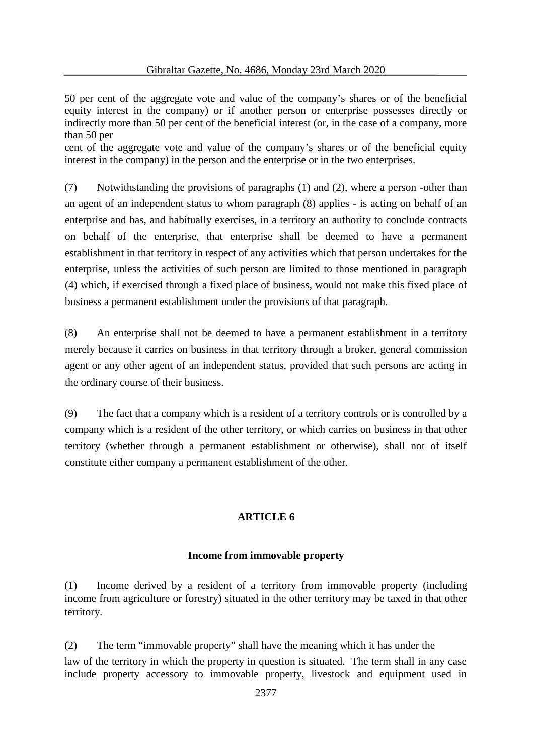50 per cent of the aggregate vote and value of the company's shares or of the beneficial equity interest in the company) or if another person or enterprise possesses directly or indirectly more than 50 per cent of the beneficial interest (or, in the case of a company, more than 50 per

cent of the aggregate vote and value of the company's shares or of the beneficial equity interest in the company) in the person and the enterprise or in the two enterprises.

(7) Notwithstanding the provisions of paragraphs (1) and (2), where a person -other than an agent of an independent status to whom paragraph (8) applies - is acting on behalf of an enterprise and has, and habitually exercises, in a territory an authority to conclude contracts on behalf of the enterprise, that enterprise shall be deemed to have a permanent establishment in that territory in respect of any activities which that person undertakes for the enterprise, unless the activities of such person are limited to those mentioned in paragraph (4) which, if exercised through a fixed place of business, would not make this fixed place of business a permanent establishment under the provisions of that paragraph.

(8) An enterprise shall not be deemed to have a permanent establishment in a territory merely because it carries on business in that territory through a broker, general commission agent or any other agent of an independent status, provided that such persons are acting in the ordinary course of their business.

(9) The fact that a company which is a resident of a territory controls or is controlled by a company which is a resident of the other territory, or which carries on business in that other territory (whether through a permanent establishment or otherwise), shall not of itself constitute either company a permanent establishment of the other.

# **ARTICLE 6**

#### **Income from immovable property**

(1) Income derived by a resident of a territory from immovable property (including income from agriculture or forestry) situated in the other territory may be taxed in that other territory.

(2) The term "immovable property" shall have the meaning which it has under the law of the territory in which the property in question is situated. The term shall in any case include property accessory to immovable property, livestock and equipment used in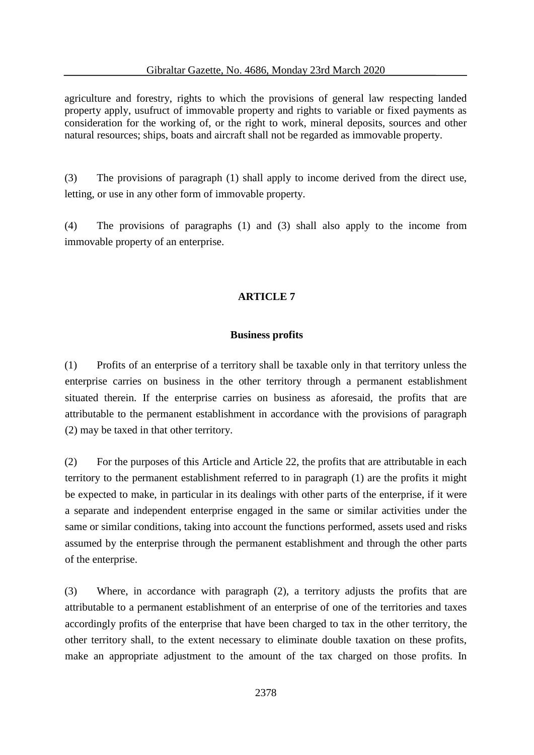agriculture and forestry, rights to which the provisions of general law respecting landed property apply, usufruct of immovable property and rights to variable or fixed payments as consideration for the working of, or the right to work, mineral deposits, sources and other natural resources; ships, boats and aircraft shall not be regarded as immovable property.

(3) The provisions of paragraph (1) shall apply to income derived from the direct use, letting, or use in any other form of immovable property.

(4) The provisions of paragraphs (1) and (3) shall also apply to the income from immovable property of an enterprise.

## **ARTICLE 7**

#### **Business profits**

(1) Profits of an enterprise of a territory shall be taxable only in that territory unless the enterprise carries on business in the other territory through a permanent establishment situated therein. If the enterprise carries on business as aforesaid, the profits that are attributable to the permanent establishment in accordance with the provisions of paragraph (2) may be taxed in that other territory.

(2) For the purposes of this Article and Article 22, the profits that are attributable in each territory to the permanent establishment referred to in paragraph (1) are the profits it might be expected to make, in particular in its dealings with other parts of the enterprise, if it were a separate and independent enterprise engaged in the same or similar activities under the same or similar conditions, taking into account the functions performed, assets used and risks assumed by the enterprise through the permanent establishment and through the other parts of the enterprise.

(3) Where, in accordance with paragraph (2), a territory adjusts the profits that are attributable to a permanent establishment of an enterprise of one of the territories and taxes accordingly profits of the enterprise that have been charged to tax in the other territory, the other territory shall, to the extent necessary to eliminate double taxation on these profits, make an appropriate adjustment to the amount of the tax charged on those profits. In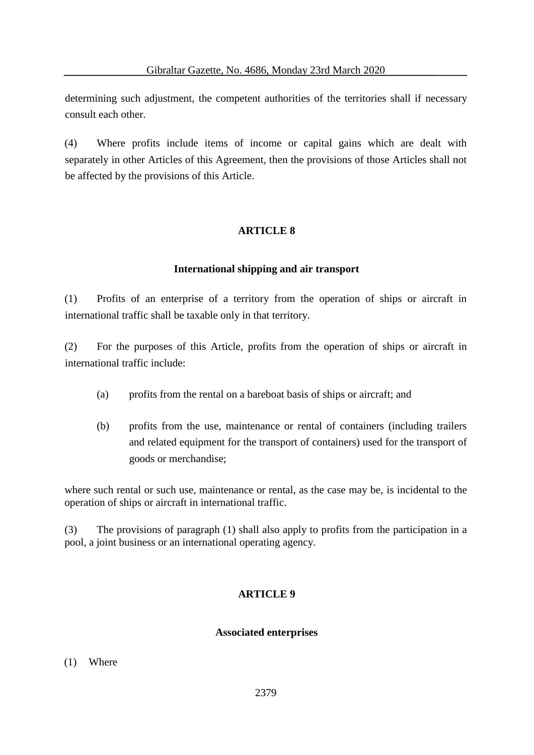determining such adjustment, the competent authorities of the territories shall if necessary consult each other.

(4) Where profits include items of income or capital gains which are dealt with separately in other Articles of this Agreement, then the provisions of those Articles shall not be affected by the provisions of this Article.

# **ARTICLE 8**

# **International shipping and air transport**

(1) Profits of an enterprise of a territory from the operation of ships or aircraft in international traffic shall be taxable only in that territory.

(2) For the purposes of this Article, profits from the operation of ships or aircraft in international traffic include:

- (a) profits from the rental on a bareboat basis of ships or aircraft; and
- (b) profits from the use, maintenance or rental of containers (including trailers and related equipment for the transport of containers) used for the transport of goods or merchandise;

where such rental or such use, maintenance or rental, as the case may be, is incidental to the operation of ships or aircraft in international traffic.

(3) The provisions of paragraph (1) shall also apply to profits from the participation in a pool, a joint business or an international operating agency.

# **ARTICLE 9**

# **Associated enterprises**

(1) Where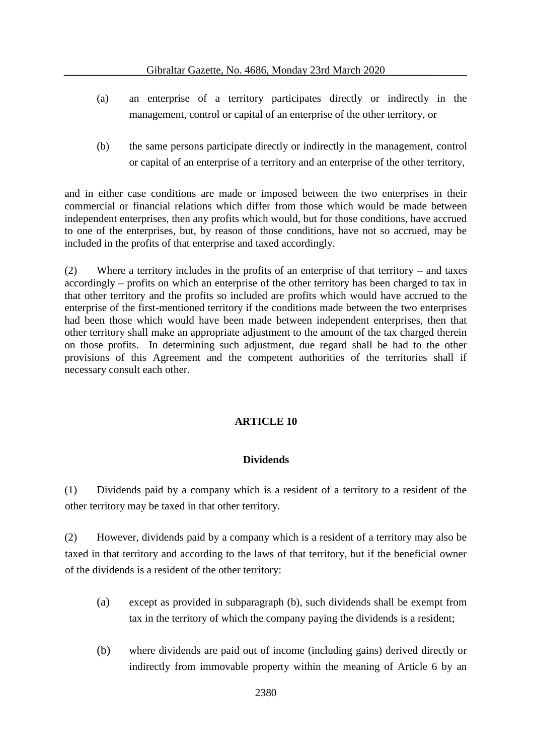- (a) an enterprise of a territory participates directly or indirectly in the management, control or capital of an enterprise of the other territory, or
- (b) the same persons participate directly or indirectly in the management, control or capital of an enterprise of a territory and an enterprise of the other territory,

and in either case conditions are made or imposed between the two enterprises in their commercial or financial relations which differ from those which would be made between independent enterprises, then any profits which would, but for those conditions, have accrued to one of the enterprises, but, by reason of those conditions, have not so accrued, may be included in the profits of that enterprise and taxed accordingly.

(2) Where a territory includes in the profits of an enterprise of that territory – and taxes accordingly – profits on which an enterprise of the other territory has been charged to tax in that other territory and the profits so included are profits which would have accrued to the enterprise of the first-mentioned territory if the conditions made between the two enterprises had been those which would have been made between independent enterprises, then that other territory shall make an appropriate adjustment to the amount of the tax charged therein on those profits. In determining such adjustment, due regard shall be had to the other provisions of this Agreement and the competent authorities of the territories shall if necessary consult each other.

## **ARTICLE 10**

## **Dividends**

(1) Dividends paid by a company which is a resident of a territory to a resident of the other territory may be taxed in that other territory.

(2) However, dividends paid by a company which is a resident of a territory may also be taxed in that territory and according to the laws of that territory, but if the beneficial owner of the dividends is a resident of the other territory:

- (a) except as provided in subparagraph (b), such dividends shall be exempt from tax in the territory of which the company paying the dividends is a resident;
- (b) where dividends are paid out of income (including gains) derived directly or indirectly from immovable property within the meaning of Article 6 by an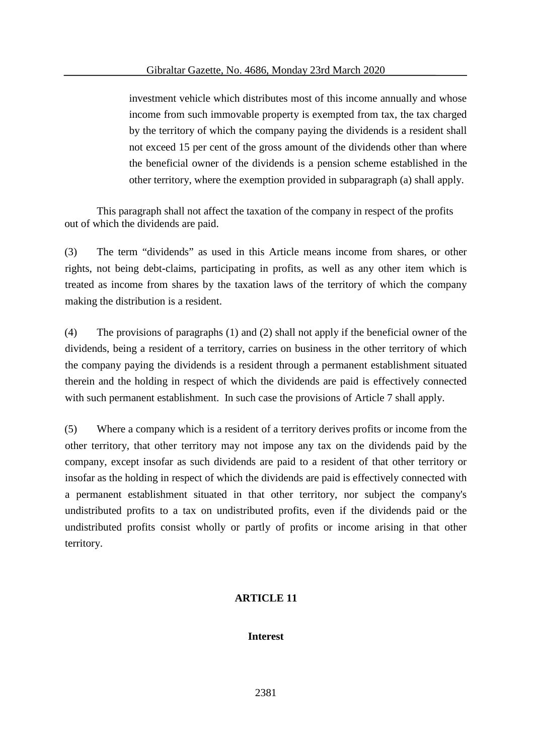investment vehicle which distributes most of this income annually and whose income from such immovable property is exempted from tax, the tax charged by the territory of which the company paying the dividends is a resident shall not exceed 15 per cent of the gross amount of the dividends other than where the beneficial owner of the dividends is a pension scheme established in the other territory, where the exemption provided in subparagraph (a) shall apply.

This paragraph shall not affect the taxation of the company in respect of the profits out of which the dividends are paid.

(3) The term "dividends" as used in this Article means income from shares, or other rights, not being debt-claims, participating in profits, as well as any other item which is treated as income from shares by the taxation laws of the territory of which the company making the distribution is a resident.

(4) The provisions of paragraphs (1) and (2) shall not apply if the beneficial owner of the dividends, being a resident of a territory, carries on business in the other territory of which the company paying the dividends is a resident through a permanent establishment situated therein and the holding in respect of which the dividends are paid is effectively connected with such permanent establishment. In such case the provisions of Article 7 shall apply.

(5) Where a company which is a resident of a territory derives profits or income from the other territory, that other territory may not impose any tax on the dividends paid by the company, except insofar as such dividends are paid to a resident of that other territory or insofar as the holding in respect of which the dividends are paid is effectively connected with a permanent establishment situated in that other territory, nor subject the company's undistributed profits to a tax on undistributed profits, even if the dividends paid or the undistributed profits consist wholly or partly of profits or income arising in that other territory.

#### **ARTICLE 11**

#### **Interest**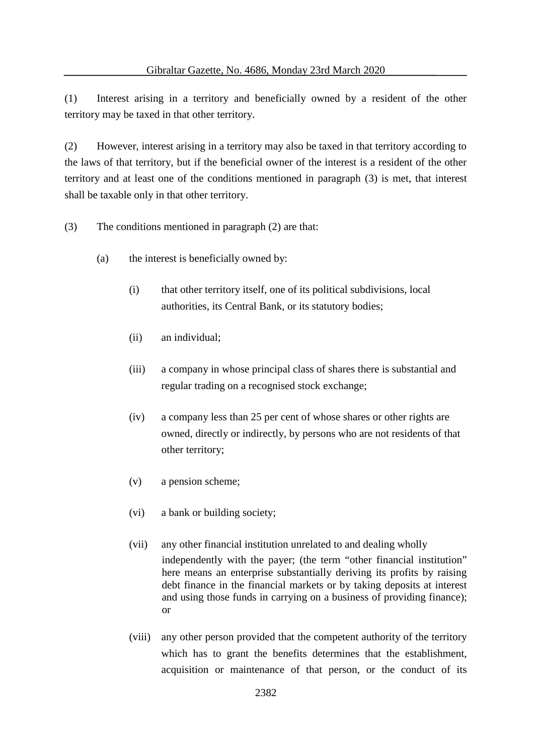(1) Interest arising in a territory and beneficially owned by a resident of the other territory may be taxed in that other territory.

(2) However, interest arising in a territory may also be taxed in that territory according to the laws of that territory, but if the beneficial owner of the interest is a resident of the other territory and at least one of the conditions mentioned in paragraph (3) is met, that interest shall be taxable only in that other territory.

(3) The conditions mentioned in paragraph (2) are that:

- (a) the interest is beneficially owned by:
	- (i) that other territory itself, one of its political subdivisions, local authorities, its Central Bank, or its statutory bodies;
	- (ii) an individual;
	- (iii) a company in whose principal class of shares there is substantial and regular trading on a recognised stock exchange;
	- (iv) a company less than 25 per cent of whose shares or other rights are owned, directly or indirectly, by persons who are not residents of that other territory;
	- (v) a pension scheme;
	- (vi) a bank or building society;
	- (vii) any other financial institution unrelated to and dealing wholly independently with the payer; (the term "other financial institution" here means an enterprise substantially deriving its profits by raising debt finance in the financial markets or by taking deposits at interest and using those funds in carrying on a business of providing finance); or
	- (viii) any other person provided that the competent authority of the territory which has to grant the benefits determines that the establishment, acquisition or maintenance of that person, or the conduct of its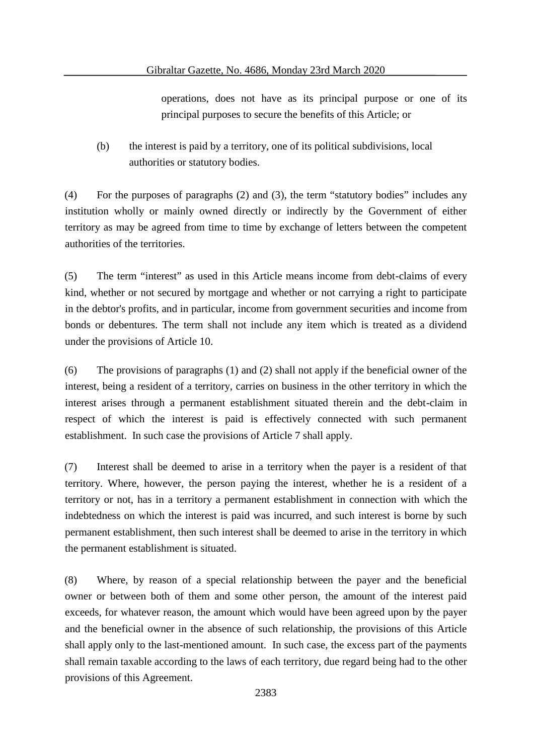operations, does not have as its principal purpose or one of its principal purposes to secure the benefits of this Article; or

(b) the interest is paid by a territory, one of its political subdivisions, local authorities or statutory bodies.

(4) For the purposes of paragraphs (2) and (3), the term "statutory bodies" includes any institution wholly or mainly owned directly or indirectly by the Government of either territory as may be agreed from time to time by exchange of letters between the competent authorities of the territories.

(5) The term "interest" as used in this Article means income from debt-claims of every kind, whether or not secured by mortgage and whether or not carrying a right to participate in the debtor's profits, and in particular, income from government securities and income from bonds or debentures. The term shall not include any item which is treated as a dividend under the provisions of Article 10.

(6) The provisions of paragraphs (1) and (2) shall not apply if the beneficial owner of the interest, being a resident of a territory, carries on business in the other territory in which the interest arises through a permanent establishment situated therein and the debt-claim in respect of which the interest is paid is effectively connected with such permanent establishment. In such case the provisions of Article 7 shall apply.

(7) Interest shall be deemed to arise in a territory when the payer is a resident of that territory. Where, however, the person paying the interest, whether he is a resident of a territory or not, has in a territory a permanent establishment in connection with which the indebtedness on which the interest is paid was incurred, and such interest is borne by such permanent establishment, then such interest shall be deemed to arise in the territory in which the permanent establishment is situated.

(8) Where, by reason of a special relationship between the payer and the beneficial owner or between both of them and some other person, the amount of the interest paid exceeds, for whatever reason, the amount which would have been agreed upon by the payer and the beneficial owner in the absence of such relationship, the provisions of this Article shall apply only to the last-mentioned amount. In such case, the excess part of the payments shall remain taxable according to the laws of each territory, due regard being had to the other provisions of this Agreement.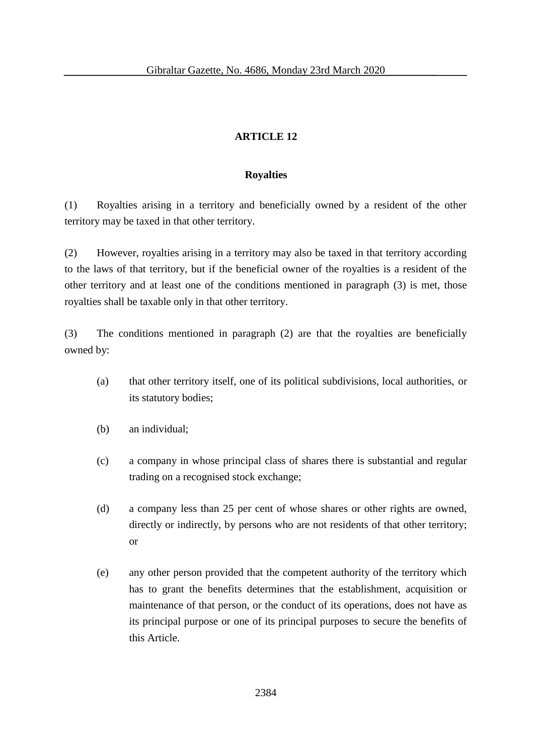# **Royalties**

(1) Royalties arising in a territory and beneficially owned by a resident of the other territory may be taxed in that other territory.

(2) However, royalties arising in a territory may also be taxed in that territory according to the laws of that territory, but if the beneficial owner of the royalties is a resident of the other territory and at least one of the conditions mentioned in paragraph (3) is met, those royalties shall be taxable only in that other territory.

(3) The conditions mentioned in paragraph (2) are that the royalties are beneficially owned by:

- (a) that other territory itself, one of its political subdivisions, local authorities, or its statutory bodies;
- (b) an individual;
- (c) a company in whose principal class of shares there is substantial and regular trading on a recognised stock exchange;
- (d) a company less than 25 per cent of whose shares or other rights are owned, directly or indirectly, by persons who are not residents of that other territory; or
- (e) any other person provided that the competent authority of the territory which has to grant the benefits determines that the establishment, acquisition or maintenance of that person, or the conduct of its operations, does not have as its principal purpose or one of its principal purposes to secure the benefits of this Article.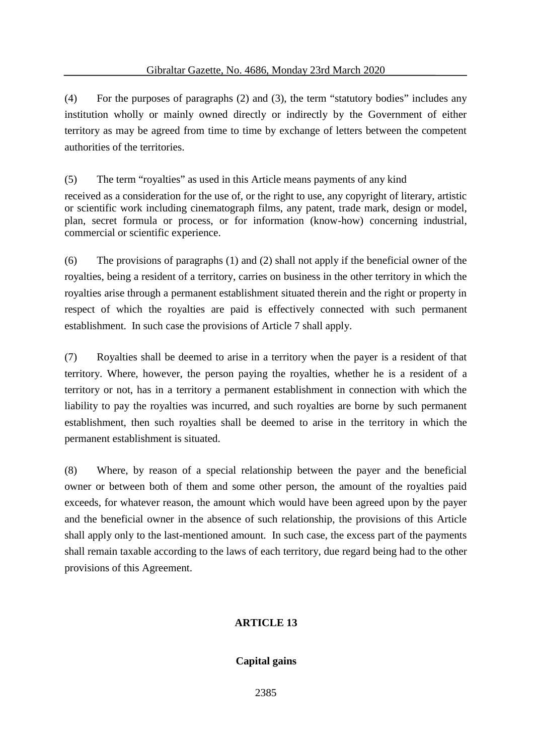(4) For the purposes of paragraphs (2) and (3), the term "statutory bodies" includes any institution wholly or mainly owned directly or indirectly by the Government of either territory as may be agreed from time to time by exchange of letters between the competent authorities of the territories.

(5) The term "royalties" as used in this Article means payments of any kind received as a consideration for the use of, or the right to use, any copyright of literary, artistic or scientific work including cinematograph films, any patent, trade mark, design or model, plan, secret formula or process, or for information (know-how) concerning industrial, commercial or scientific experience.

(6) The provisions of paragraphs (1) and (2) shall not apply if the beneficial owner of the royalties, being a resident of a territory, carries on business in the other territory in which the royalties arise through a permanent establishment situated therein and the right or property in respect of which the royalties are paid is effectively connected with such permanent establishment. In such case the provisions of Article 7 shall apply.

(7) Royalties shall be deemed to arise in a territory when the payer is a resident of that territory. Where, however, the person paying the royalties, whether he is a resident of a territory or not, has in a territory a permanent establishment in connection with which the liability to pay the royalties was incurred, and such royalties are borne by such permanent establishment, then such royalties shall be deemed to arise in the territory in which the permanent establishment is situated.

(8) Where, by reason of a special relationship between the payer and the beneficial owner or between both of them and some other person, the amount of the royalties paid exceeds, for whatever reason, the amount which would have been agreed upon by the payer and the beneficial owner in the absence of such relationship, the provisions of this Article shall apply only to the last-mentioned amount. In such case, the excess part of the payments shall remain taxable according to the laws of each territory, due regard being had to the other provisions of this Agreement.

# **ARTICLE 13**

# **Capital gains**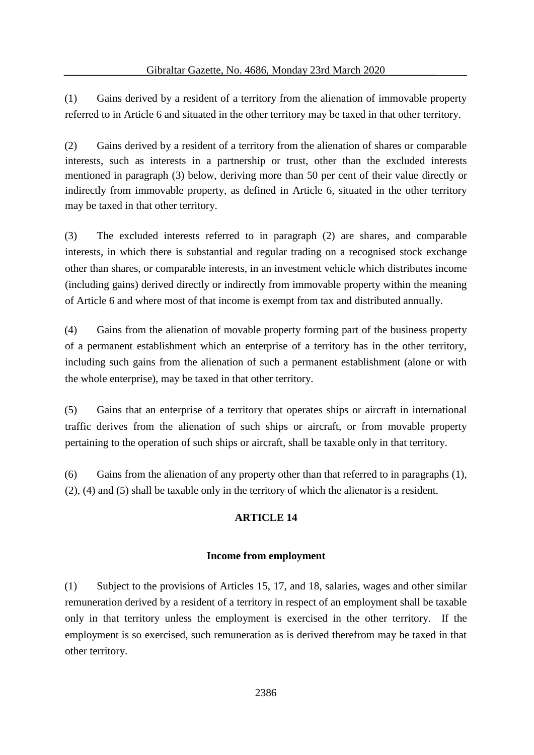(1) Gains derived by a resident of a territory from the alienation of immovable property referred to in Article 6 and situated in the other territory may be taxed in that other territory.

(2) Gains derived by a resident of a territory from the alienation of shares or comparable interests, such as interests in a partnership or trust, other than the excluded interests mentioned in paragraph (3) below, deriving more than 50 per cent of their value directly or indirectly from immovable property, as defined in Article 6, situated in the other territory may be taxed in that other territory.

(3) The excluded interests referred to in paragraph (2) are shares, and comparable interests, in which there is substantial and regular trading on a recognised stock exchange other than shares, or comparable interests, in an investment vehicle which distributes income (including gains) derived directly or indirectly from immovable property within the meaning of Article 6 and where most of that income is exempt from tax and distributed annually.

(4) Gains from the alienation of movable property forming part of the business property of a permanent establishment which an enterprise of a territory has in the other territory, including such gains from the alienation of such a permanent establishment (alone or with the whole enterprise), may be taxed in that other territory.

(5) Gains that an enterprise of a territory that operates ships or aircraft in international traffic derives from the alienation of such ships or aircraft, or from movable property pertaining to the operation of such ships or aircraft, shall be taxable only in that territory.

(6) Gains from the alienation of any property other than that referred to in paragraphs (1), (2), (4) and (5) shall be taxable only in the territory of which the alienator is a resident.

## **ARTICLE 14**

#### **Income from employment**

(1) Subject to the provisions of Articles 15, 17, and 18, salaries, wages and other similar remuneration derived by a resident of a territory in respect of an employment shall be taxable only in that territory unless the employment is exercised in the other territory. If the employment is so exercised, such remuneration as is derived therefrom may be taxed in that other territory.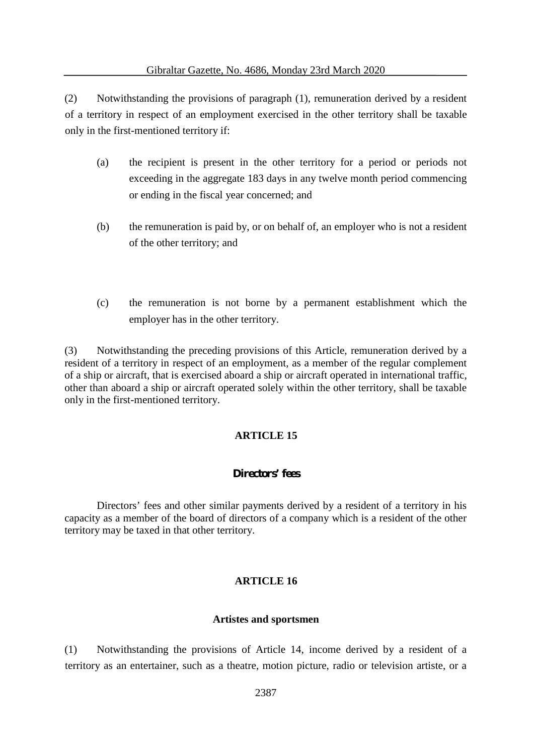(2) Notwithstanding the provisions of paragraph (1), remuneration derived by a resident of a territory in respect of an employment exercised in the other territory shall be taxable only in the first-mentioned territory if:

- (a) the recipient is present in the other territory for a period or periods not exceeding in the aggregate 183 days in any twelve month period commencing or ending in the fiscal year concerned; and
- (b) the remuneration is paid by, or on behalf of, an employer who is not a resident of the other territory; and
- (c) the remuneration is not borne by a permanent establishment which the employer has in the other territory.

(3) Notwithstanding the preceding provisions of this Article, remuneration derived by a resident of a territory in respect of an employment, as a member of the regular complement of a ship or aircraft, that is exercised aboard a ship or aircraft operated in international traffic, other than aboard a ship or aircraft operated solely within the other territory, shall be taxable only in the first-mentioned territory.

## **ARTICLE 15**

#### **Directors' fees**

Directors' fees and other similar payments derived by a resident of a territory in his capacity as a member of the board of directors of a company which is a resident of the other territory may be taxed in that other territory.

#### **ARTICLE 16**

#### **Artistes and sportsmen**

(1) Notwithstanding the provisions of Article 14, income derived by a resident of a territory as an entertainer, such as a theatre, motion picture, radio or television artiste, or a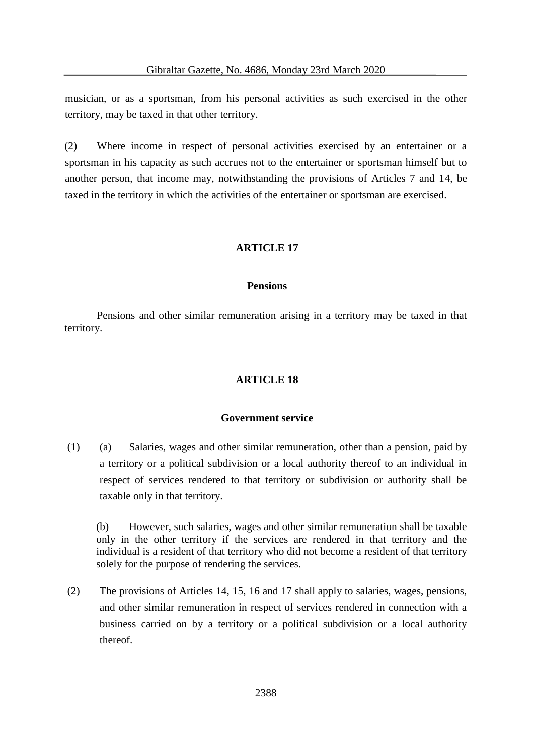musician, or as a sportsman, from his personal activities as such exercised in the other territory, may be taxed in that other territory.

(2) Where income in respect of personal activities exercised by an entertainer or a sportsman in his capacity as such accrues not to the entertainer or sportsman himself but to another person, that income may, notwithstanding the provisions of Articles 7 and 14, be taxed in the territory in which the activities of the entertainer or sportsman are exercised.

#### **ARTICLE 17**

#### **Pensions**

Pensions and other similar remuneration arising in a territory may be taxed in that territory.

## **ARTICLE 18**

#### **Government service**

(1) (a) Salaries, wages and other similar remuneration, other than a pension, paid by a territory or a political subdivision or a local authority thereof to an individual in respect of services rendered to that territory or subdivision or authority shall be taxable only in that territory.

(b) However, such salaries, wages and other similar remuneration shall be taxable only in the other territory if the services are rendered in that territory and the individual is a resident of that territory who did not become a resident of that territory solely for the purpose of rendering the services.

(2) The provisions of Articles 14, 15, 16 and 17 shall apply to salaries, wages, pensions, and other similar remuneration in respect of services rendered in connection with a business carried on by a territory or a political subdivision or a local authority thereof.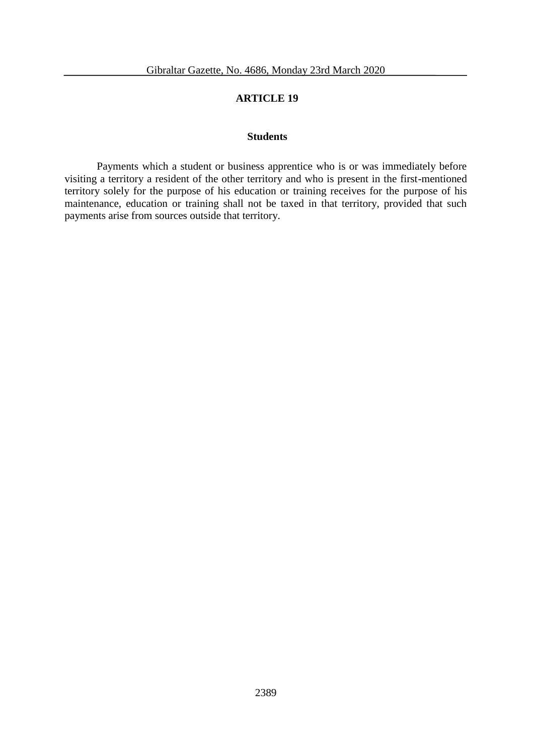#### **Students**

Payments which a student or business apprentice who is or was immediately before visiting a territory a resident of the other territory and who is present in the first-mentioned territory solely for the purpose of his education or training receives for the purpose of his maintenance, education or training shall not be taxed in that territory, provided that such payments arise from sources outside that territory.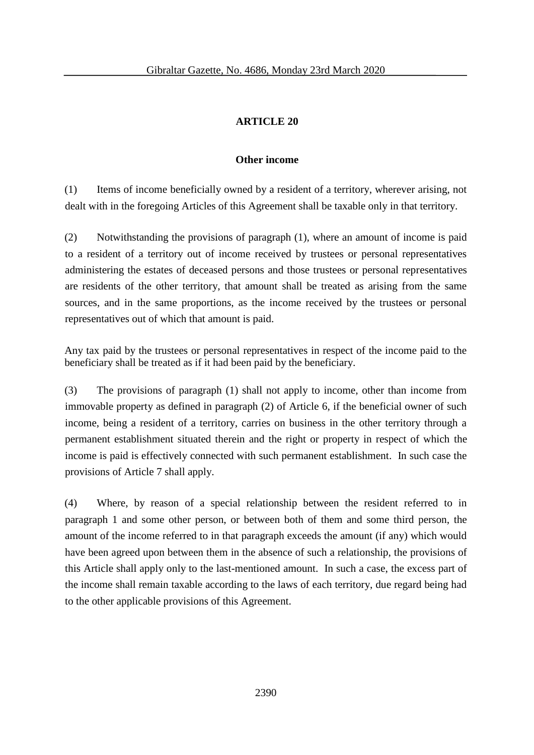# **Other income**

(1) Items of income beneficially owned by a resident of a territory, wherever arising, not dealt with in the foregoing Articles of this Agreement shall be taxable only in that territory.

(2) Notwithstanding the provisions of paragraph (1), where an amount of income is paid to a resident of a territory out of income received by trustees or personal representatives administering the estates of deceased persons and those trustees or personal representatives are residents of the other territory, that amount shall be treated as arising from the same sources, and in the same proportions, as the income received by the trustees or personal representatives out of which that amount is paid.

Any tax paid by the trustees or personal representatives in respect of the income paid to the beneficiary shall be treated as if it had been paid by the beneficiary.

(3) The provisions of paragraph (1) shall not apply to income, other than income from immovable property as defined in paragraph (2) of Article 6, if the beneficial owner of such income, being a resident of a territory, carries on business in the other territory through a permanent establishment situated therein and the right or property in respect of which the income is paid is effectively connected with such permanent establishment. In such case the provisions of Article 7 shall apply.

(4) Where, by reason of a special relationship between the resident referred to in paragraph 1 and some other person, or between both of them and some third person, the amount of the income referred to in that paragraph exceeds the amount (if any) which would have been agreed upon between them in the absence of such a relationship, the provisions of this Article shall apply only to the last-mentioned amount. In such a case, the excess part of the income shall remain taxable according to the laws of each territory, due regard being had to the other applicable provisions of this Agreement.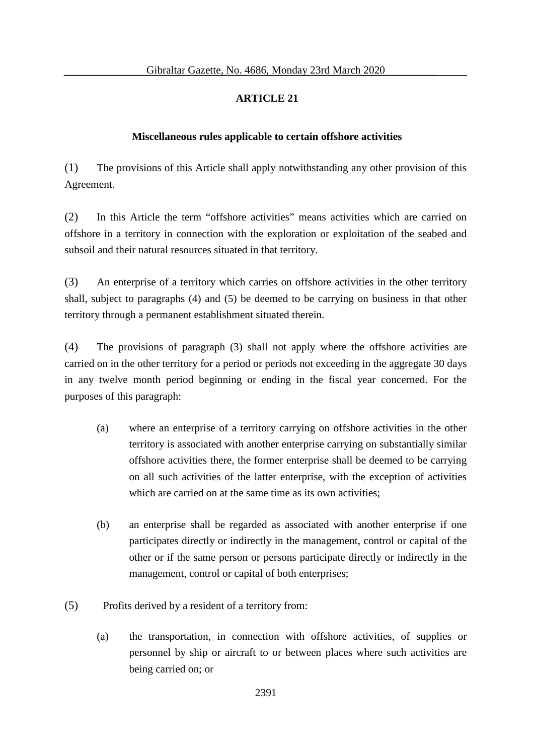# **Miscellaneous rules applicable to certain offshore activities**

(1) The provisions of this Article shall apply notwithstanding any other provision of this Agreement.

(2) In this Article the term "offshore activities" means activities which are carried on offshore in a territory in connection with the exploration or exploitation of the seabed and subsoil and their natural resources situated in that territory.

(3) An enterprise of a territory which carries on offshore activities in the other territory shall, subject to paragraphs (4) and (5) be deemed to be carrying on business in that other territory through a permanent establishment situated therein.

(4) The provisions of paragraph (3) shall not apply where the offshore activities are carried on in the other territory for a period or periods not exceeding in the aggregate 30 days in any twelve month period beginning or ending in the fiscal year concerned. For the purposes of this paragraph:

- (a) where an enterprise of a territory carrying on offshore activities in the other territory is associated with another enterprise carrying on substantially similar offshore activities there, the former enterprise shall be deemed to be carrying on all such activities of the latter enterprise, with the exception of activities which are carried on at the same time as its own activities:
- (b) an enterprise shall be regarded as associated with another enterprise if one participates directly or indirectly in the management, control or capital of the other or if the same person or persons participate directly or indirectly in the management, control or capital of both enterprises;
- (5) Profits derived by a resident of a territory from:
	- (a) the transportation, in connection with offshore activities, of supplies or personnel by ship or aircraft to or between places where such activities are being carried on; or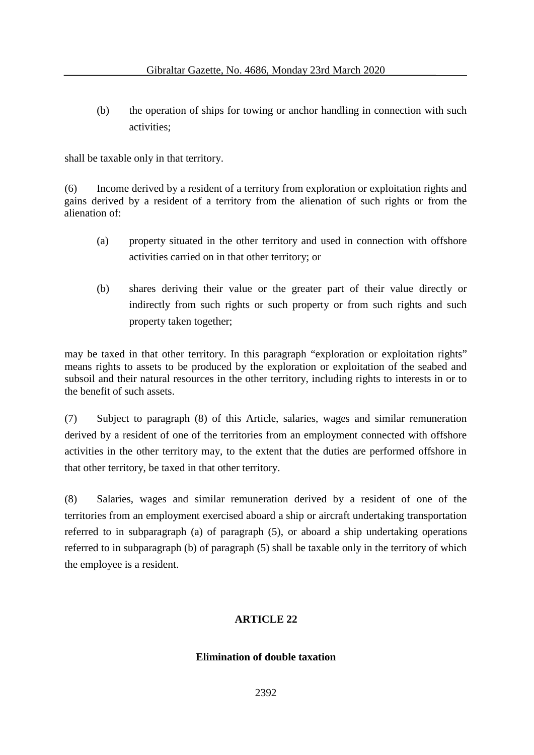(b) the operation of ships for towing or anchor handling in connection with such activities;

shall be taxable only in that territory.

(6) Income derived by a resident of a territory from exploration or exploitation rights and gains derived by a resident of a territory from the alienation of such rights or from the alienation of:

- (a) property situated in the other territory and used in connection with offshore activities carried on in that other territory; or
- (b) shares deriving their value or the greater part of their value directly or indirectly from such rights or such property or from such rights and such property taken together;

may be taxed in that other territory. In this paragraph "exploration or exploitation rights" means rights to assets to be produced by the exploration or exploitation of the seabed and subsoil and their natural resources in the other territory, including rights to interests in or to the benefit of such assets.

(7) Subject to paragraph (8) of this Article, salaries, wages and similar remuneration derived by a resident of one of the territories from an employment connected with offshore activities in the other territory may, to the extent that the duties are performed offshore in that other territory, be taxed in that other territory.

(8) Salaries, wages and similar remuneration derived by a resident of one of the territories from an employment exercised aboard a ship or aircraft undertaking transportation referred to in subparagraph (a) of paragraph (5), or aboard a ship undertaking operations referred to in subparagraph (b) of paragraph (5) shall be taxable only in the territory of which the employee is a resident.

# **ARTICLE 22**

# **Elimination of double taxation**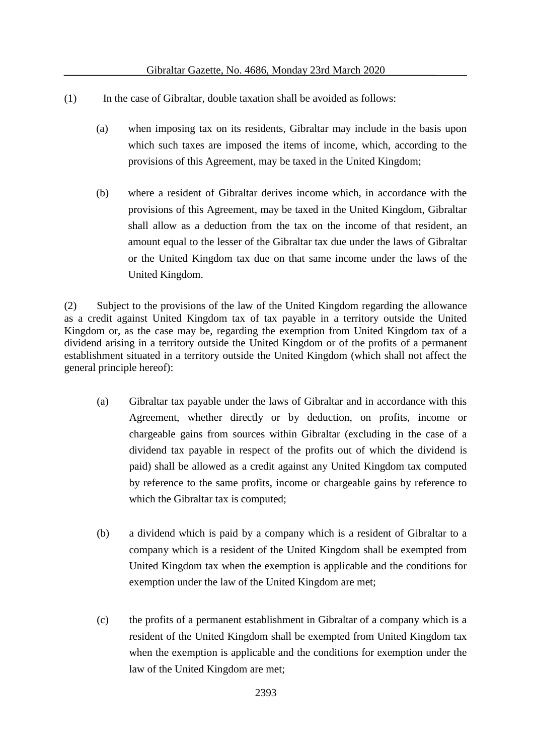- (1) In the case of Gibraltar, double taxation shall be avoided as follows:
	- (a) when imposing tax on its residents, Gibraltar may include in the basis upon which such taxes are imposed the items of income, which, according to the provisions of this Agreement, may be taxed in the United Kingdom;
	- (b) where a resident of Gibraltar derives income which, in accordance with the provisions of this Agreement, may be taxed in the United Kingdom, Gibraltar shall allow as a deduction from the tax on the income of that resident, an amount equal to the lesser of the Gibraltar tax due under the laws of Gibraltar or the United Kingdom tax due on that same income under the laws of the United Kingdom.

(2) Subject to the provisions of the law of the United Kingdom regarding the allowance as a credit against United Kingdom tax of tax payable in a territory outside the United Kingdom or, as the case may be, regarding the exemption from United Kingdom tax of a dividend arising in a territory outside the United Kingdom or of the profits of a permanent establishment situated in a territory outside the United Kingdom (which shall not affect the general principle hereof):

- (a) Gibraltar tax payable under the laws of Gibraltar and in accordance with this Agreement, whether directly or by deduction, on profits, income or chargeable gains from sources within Gibraltar (excluding in the case of a dividend tax payable in respect of the profits out of which the dividend is paid) shall be allowed as a credit against any United Kingdom tax computed by reference to the same profits, income or chargeable gains by reference to which the Gibraltar tax is computed;
- (b) a dividend which is paid by a company which is a resident of Gibraltar to a company which is a resident of the United Kingdom shall be exempted from United Kingdom tax when the exemption is applicable and the conditions for exemption under the law of the United Kingdom are met;
- (c) the profits of a permanent establishment in Gibraltar of a company which is a resident of the United Kingdom shall be exempted from United Kingdom tax when the exemption is applicable and the conditions for exemption under the law of the United Kingdom are met;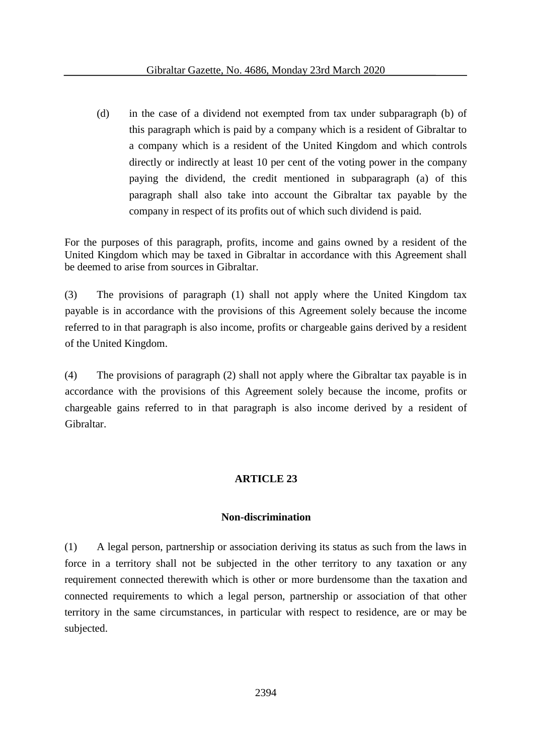(d) in the case of a dividend not exempted from tax under subparagraph (b) of this paragraph which is paid by a company which is a resident of Gibraltar to a company which is a resident of the United Kingdom and which controls directly or indirectly at least 10 per cent of the voting power in the company paying the dividend, the credit mentioned in subparagraph (a) of this paragraph shall also take into account the Gibraltar tax payable by the company in respect of its profits out of which such dividend is paid.

For the purposes of this paragraph, profits, income and gains owned by a resident of the United Kingdom which may be taxed in Gibraltar in accordance with this Agreement shall be deemed to arise from sources in Gibraltar.

(3) The provisions of paragraph (1) shall not apply where the United Kingdom tax payable is in accordance with the provisions of this Agreement solely because the income referred to in that paragraph is also income, profits or chargeable gains derived by a resident of the United Kingdom.

(4) The provisions of paragraph (2) shall not apply where the Gibraltar tax payable is in accordance with the provisions of this Agreement solely because the income, profits or chargeable gains referred to in that paragraph is also income derived by a resident of Gibraltar.

## **ARTICLE 23**

#### **Non-discrimination**

(1) A legal person, partnership or association deriving its status as such from the laws in force in a territory shall not be subjected in the other territory to any taxation or any requirement connected therewith which is other or more burdensome than the taxation and connected requirements to which a legal person, partnership or association of that other territory in the same circumstances, in particular with respect to residence, are or may be subjected.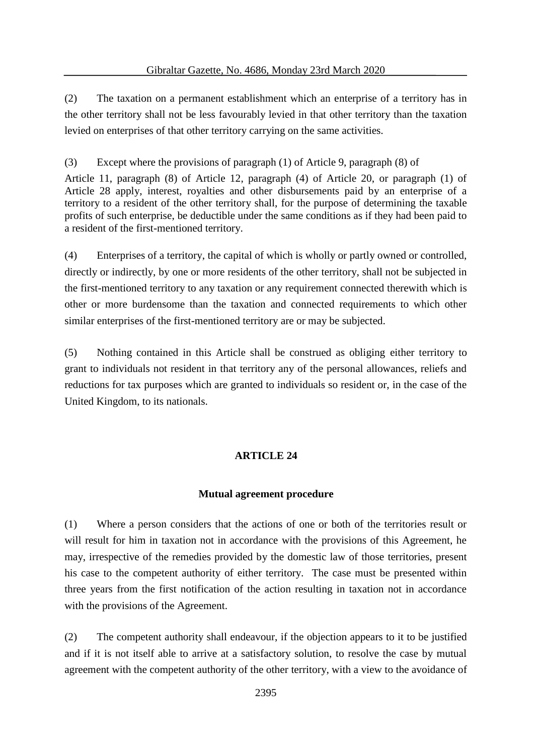(2) The taxation on a permanent establishment which an enterprise of a territory has in the other territory shall not be less favourably levied in that other territory than the taxation levied on enterprises of that other territory carrying on the same activities.

(3) Except where the provisions of paragraph (1) of Article 9, paragraph (8) of

Article 11, paragraph (8) of Article 12, paragraph (4) of Article 20, or paragraph (1) of Article 28 apply, interest, royalties and other disbursements paid by an enterprise of a territory to a resident of the other territory shall, for the purpose of determining the taxable profits of such enterprise, be deductible under the same conditions as if they had been paid to a resident of the first-mentioned territory.

(4) Enterprises of a territory, the capital of which is wholly or partly owned or controlled, directly or indirectly, by one or more residents of the other territory, shall not be subjected in the first-mentioned territory to any taxation or any requirement connected therewith which is other or more burdensome than the taxation and connected requirements to which other similar enterprises of the first-mentioned territory are or may be subjected.

(5) Nothing contained in this Article shall be construed as obliging either territory to grant to individuals not resident in that territory any of the personal allowances, reliefs and reductions for tax purposes which are granted to individuals so resident or, in the case of the United Kingdom, to its nationals.

#### **ARTICLE 24**

#### **Mutual agreement procedure**

(1) Where a person considers that the actions of one or both of the territories result or will result for him in taxation not in accordance with the provisions of this Agreement, he may, irrespective of the remedies provided by the domestic law of those territories, present his case to the competent authority of either territory. The case must be presented within three years from the first notification of the action resulting in taxation not in accordance with the provisions of the Agreement.

(2) The competent authority shall endeavour, if the objection appears to it to be justified and if it is not itself able to arrive at a satisfactory solution, to resolve the case by mutual agreement with the competent authority of the other territory, with a view to the avoidance of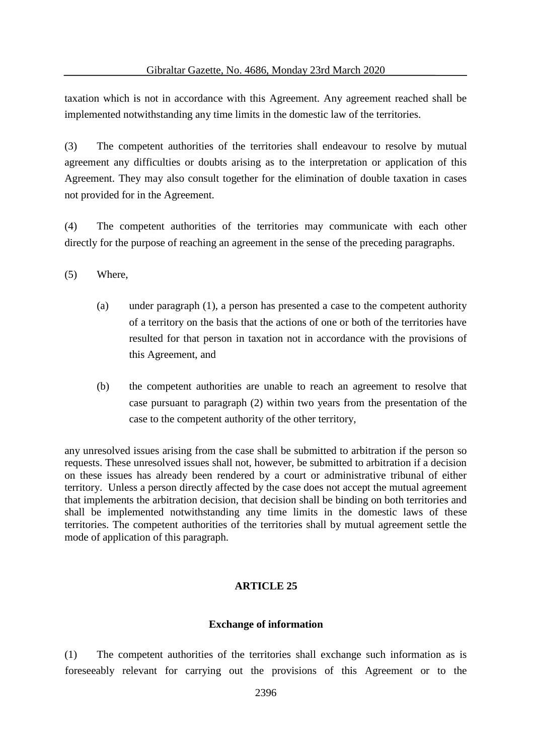taxation which is not in accordance with this Agreement. Any agreement reached shall be implemented notwithstanding any time limits in the domestic law of the territories.

(3) The competent authorities of the territories shall endeavour to resolve by mutual agreement any difficulties or doubts arising as to the interpretation or application of this Agreement. They may also consult together for the elimination of double taxation in cases not provided for in the Agreement.

(4) The competent authorities of the territories may communicate with each other directly for the purpose of reaching an agreement in the sense of the preceding paragraphs.

- (5) Where,
	- (a) under paragraph (1), a person has presented a case to the competent authority of a territory on the basis that the actions of one or both of the territories have resulted for that person in taxation not in accordance with the provisions of this Agreement, and
	- (b) the competent authorities are unable to reach an agreement to resolve that case pursuant to paragraph (2) within two years from the presentation of the case to the competent authority of the other territory,

any unresolved issues arising from the case shall be submitted to arbitration if the person so requests. These unresolved issues shall not, however, be submitted to arbitration if a decision on these issues has already been rendered by a court or administrative tribunal of either territory. Unless a person directly affected by the case does not accept the mutual agreement that implements the arbitration decision, that decision shall be binding on both territories and shall be implemented notwithstanding any time limits in the domestic laws of these territories. The competent authorities of the territories shall by mutual agreement settle the mode of application of this paragraph.

#### **ARTICLE 25**

#### **Exchange of information**

(1) The competent authorities of the territories shall exchange such information as is foreseeably relevant for carrying out the provisions of this Agreement or to the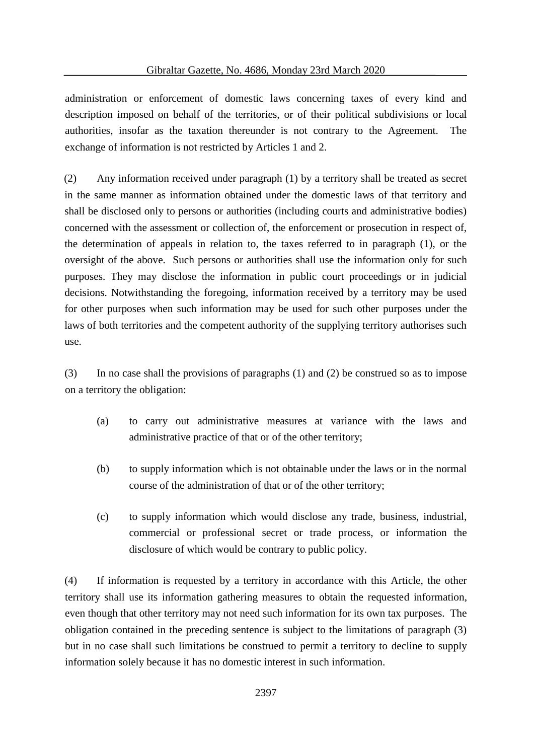administration or enforcement of domestic laws concerning taxes of every kind and description imposed on behalf of the territories, or of their political subdivisions or local authorities, insofar as the taxation thereunder is not contrary to the Agreement. The exchange of information is not restricted by Articles 1 and 2.

(2) Any information received under paragraph (1) by a territory shall be treated as secret in the same manner as information obtained under the domestic laws of that territory and shall be disclosed only to persons or authorities (including courts and administrative bodies) concerned with the assessment or collection of, the enforcement or prosecution in respect of, the determination of appeals in relation to, the taxes referred to in paragraph (1), or the oversight of the above. Such persons or authorities shall use the information only for such purposes. They may disclose the information in public court proceedings or in judicial decisions. Notwithstanding the foregoing, information received by a territory may be used for other purposes when such information may be used for such other purposes under the laws of both territories and the competent authority of the supplying territory authorises such use.

(3) In no case shall the provisions of paragraphs (1) and (2) be construed so as to impose on a territory the obligation:

- (a) to carry out administrative measures at variance with the laws and administrative practice of that or of the other territory;
- (b) to supply information which is not obtainable under the laws or in the normal course of the administration of that or of the other territory;
- (c) to supply information which would disclose any trade, business, industrial, commercial or professional secret or trade process, or information the disclosure of which would be contrary to public policy.

(4) If information is requested by a territory in accordance with this Article, the other territory shall use its information gathering measures to obtain the requested information, even though that other territory may not need such information for its own tax purposes. The obligation contained in the preceding sentence is subject to the limitations of paragraph (3) but in no case shall such limitations be construed to permit a territory to decline to supply information solely because it has no domestic interest in such information.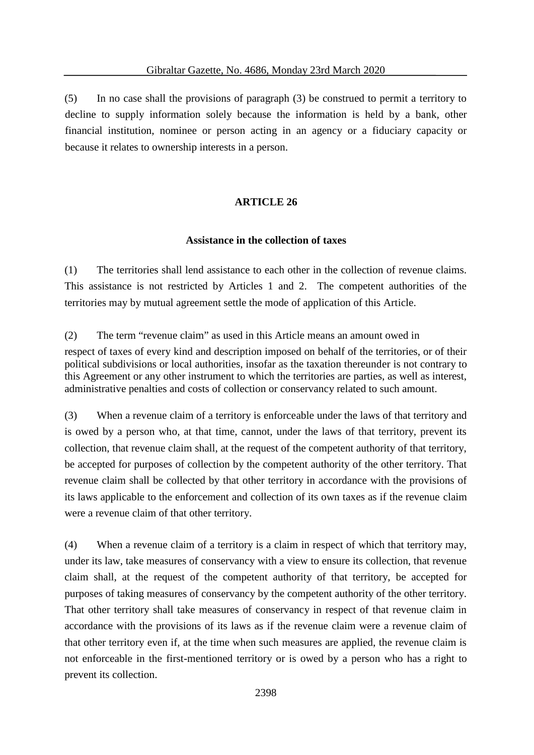(5) In no case shall the provisions of paragraph (3) be construed to permit a territory to decline to supply information solely because the information is held by a bank, other financial institution, nominee or person acting in an agency or a fiduciary capacity or because it relates to ownership interests in a person.

## **ARTICLE 26**

#### **Assistance in the collection of taxes**

(1) The territories shall lend assistance to each other in the collection of revenue claims. This assistance is not restricted by Articles 1 and 2. The competent authorities of the territories may by mutual agreement settle the mode of application of this Article.

(2) The term "revenue claim" as used in this Article means an amount owed in respect of taxes of every kind and description imposed on behalf of the territories, or of their political subdivisions or local authorities, insofar as the taxation thereunder is not contrary to this Agreement or any other instrument to which the territories are parties, as well as interest, administrative penalties and costs of collection or conservancy related to such amount.

(3) When a revenue claim of a territory is enforceable under the laws of that territory and is owed by a person who, at that time, cannot, under the laws of that territory, prevent its collection, that revenue claim shall, at the request of the competent authority of that territory, be accepted for purposes of collection by the competent authority of the other territory. That revenue claim shall be collected by that other territory in accordance with the provisions of its laws applicable to the enforcement and collection of its own taxes as if the revenue claim were a revenue claim of that other territory.

(4) When a revenue claim of a territory is a claim in respect of which that territory may, under its law, take measures of conservancy with a view to ensure its collection, that revenue claim shall, at the request of the competent authority of that territory, be accepted for purposes of taking measures of conservancy by the competent authority of the other territory. That other territory shall take measures of conservancy in respect of that revenue claim in accordance with the provisions of its laws as if the revenue claim were a revenue claim of that other territory even if, at the time when such measures are applied, the revenue claim is not enforceable in the first-mentioned territory or is owed by a person who has a right to prevent its collection.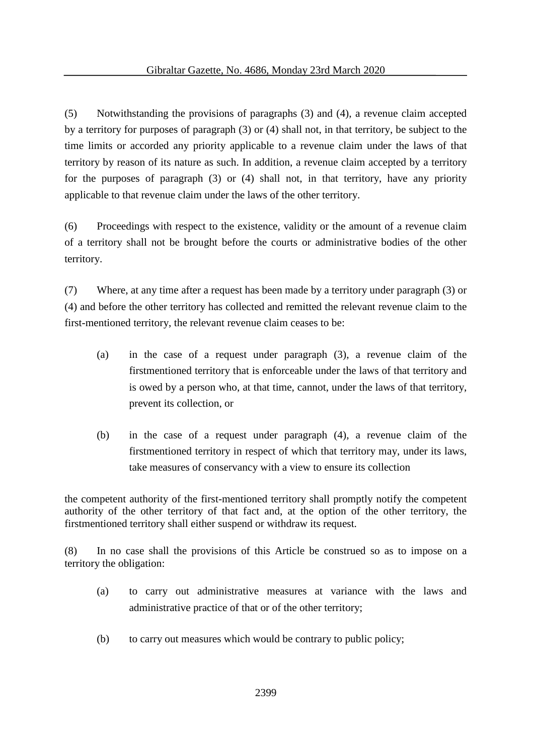(5) Notwithstanding the provisions of paragraphs (3) and (4), a revenue claim accepted by a territory for purposes of paragraph (3) or (4) shall not, in that territory, be subject to the time limits or accorded any priority applicable to a revenue claim under the laws of that territory by reason of its nature as such. In addition, a revenue claim accepted by a territory for the purposes of paragraph (3) or (4) shall not, in that territory, have any priority applicable to that revenue claim under the laws of the other territory.

(6) Proceedings with respect to the existence, validity or the amount of a revenue claim of a territory shall not be brought before the courts or administrative bodies of the other territory.

(7) Where, at any time after a request has been made by a territory under paragraph (3) or (4) and before the other territory has collected and remitted the relevant revenue claim to the first-mentioned territory, the relevant revenue claim ceases to be:

- (a) in the case of a request under paragraph (3), a revenue claim of the firstmentioned territory that is enforceable under the laws of that territory and is owed by a person who, at that time, cannot, under the laws of that territory, prevent its collection, or
- (b) in the case of a request under paragraph (4), a revenue claim of the firstmentioned territory in respect of which that territory may, under its laws, take measures of conservancy with a view to ensure its collection

the competent authority of the first-mentioned territory shall promptly notify the competent authority of the other territory of that fact and, at the option of the other territory, the firstmentioned territory shall either suspend or withdraw its request.

(8) In no case shall the provisions of this Article be construed so as to impose on a territory the obligation:

- (a) to carry out administrative measures at variance with the laws and administrative practice of that or of the other territory;
- (b) to carry out measures which would be contrary to public policy;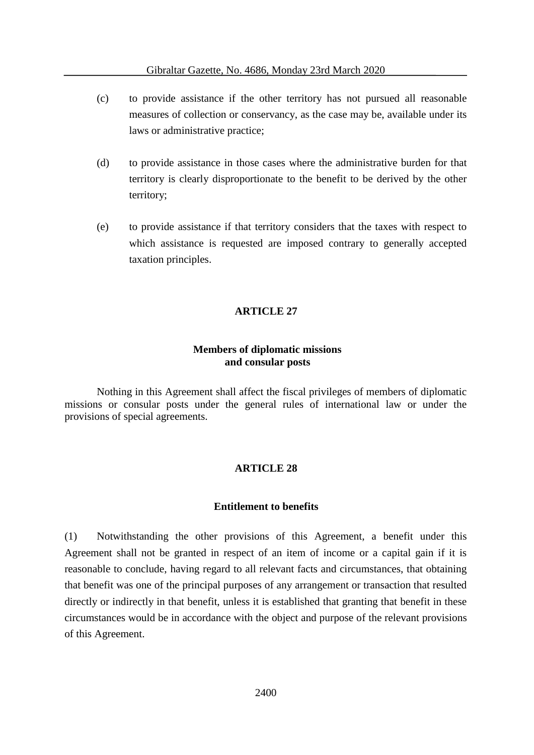- (c) to provide assistance if the other territory has not pursued all reasonable measures of collection or conservancy, as the case may be, available under its laws or administrative practice;
- (d) to provide assistance in those cases where the administrative burden for that territory is clearly disproportionate to the benefit to be derived by the other territory;
- (e) to provide assistance if that territory considers that the taxes with respect to which assistance is requested are imposed contrary to generally accepted taxation principles.

## **Members of diplomatic missions and consular posts**

Nothing in this Agreement shall affect the fiscal privileges of members of diplomatic missions or consular posts under the general rules of international law or under the provisions of special agreements.

#### **ARTICLE 28**

#### **Entitlement to benefits**

(1) Notwithstanding the other provisions of this Agreement, a benefit under this Agreement shall not be granted in respect of an item of income or a capital gain if it is reasonable to conclude, having regard to all relevant facts and circumstances, that obtaining that benefit was one of the principal purposes of any arrangement or transaction that resulted directly or indirectly in that benefit, unless it is established that granting that benefit in these circumstances would be in accordance with the object and purpose of the relevant provisions of this Agreement.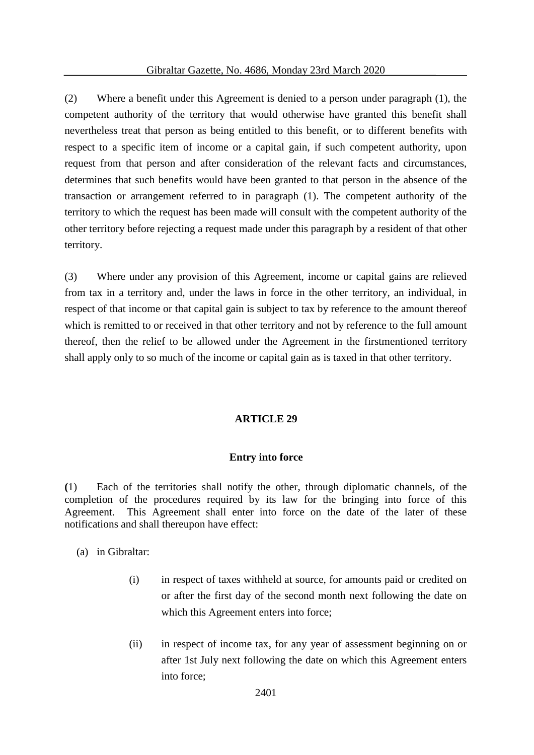(2) Where a benefit under this Agreement is denied to a person under paragraph (1), the competent authority of the territory that would otherwise have granted this benefit shall nevertheless treat that person as being entitled to this benefit, or to different benefits with respect to a specific item of income or a capital gain, if such competent authority, upon request from that person and after consideration of the relevant facts and circumstances, determines that such benefits would have been granted to that person in the absence of the transaction or arrangement referred to in paragraph (1). The competent authority of the territory to which the request has been made will consult with the competent authority of the other territory before rejecting a request made under this paragraph by a resident of that other territory.

(3) Where under any provision of this Agreement, income or capital gains are relieved from tax in a territory and, under the laws in force in the other territory, an individual, in respect of that income or that capital gain is subject to tax by reference to the amount thereof which is remitted to or received in that other territory and not by reference to the full amount thereof, then the relief to be allowed under the Agreement in the firstmentioned territory shall apply only to so much of the income or capital gain as is taxed in that other territory.

#### **ARTICLE 29**

#### **Entry into force**

**(**1) Each of the territories shall notify the other, through diplomatic channels, of the completion of the procedures required by its law for the bringing into force of this Agreement. This Agreement shall enter into force on the date of the later of these notifications and shall thereupon have effect:

(a) in Gibraltar:

- (i) in respect of taxes withheld at source, for amounts paid or credited on or after the first day of the second month next following the date on which this Agreement enters into force;
- (ii) in respect of income tax, for any year of assessment beginning on or after 1st July next following the date on which this Agreement enters into force;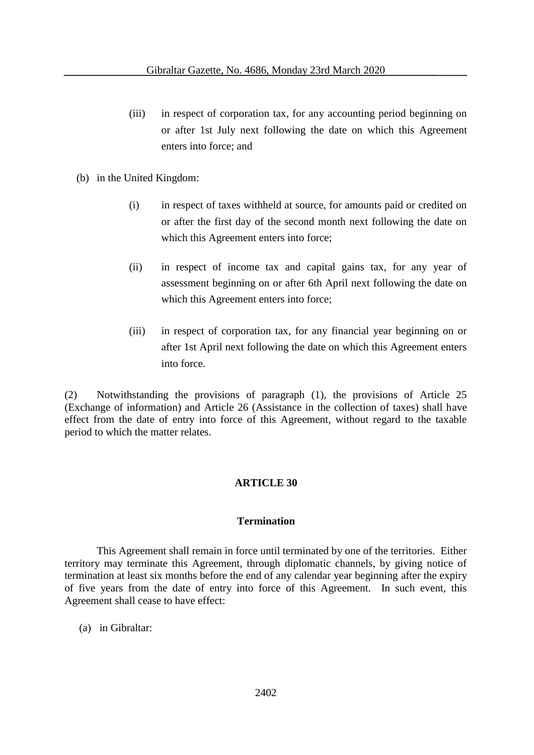- (iii) in respect of corporation tax, for any accounting period beginning on or after 1st July next following the date on which this Agreement enters into force; and
- (b) in the United Kingdom:
	- (i) in respect of taxes withheld at source, for amounts paid or credited on or after the first day of the second month next following the date on which this Agreement enters into force;
	- (ii) in respect of income tax and capital gains tax, for any year of assessment beginning on or after 6th April next following the date on which this Agreement enters into force;
	- (iii) in respect of corporation tax, for any financial year beginning on or after 1st April next following the date on which this Agreement enters into force.

(2) Notwithstanding the provisions of paragraph (1), the provisions of Article 25 (Exchange of information) and Article 26 (Assistance in the collection of taxes) shall have effect from the date of entry into force of this Agreement, without regard to the taxable period to which the matter relates.

## **ARTICLE 30**

## **Termination**

This Agreement shall remain in force until terminated by one of the territories. Either territory may terminate this Agreement, through diplomatic channels, by giving notice of termination at least six months before the end of any calendar year beginning after the expiry of five years from the date of entry into force of this Agreement. In such event, this Agreement shall cease to have effect:

(a) in Gibraltar: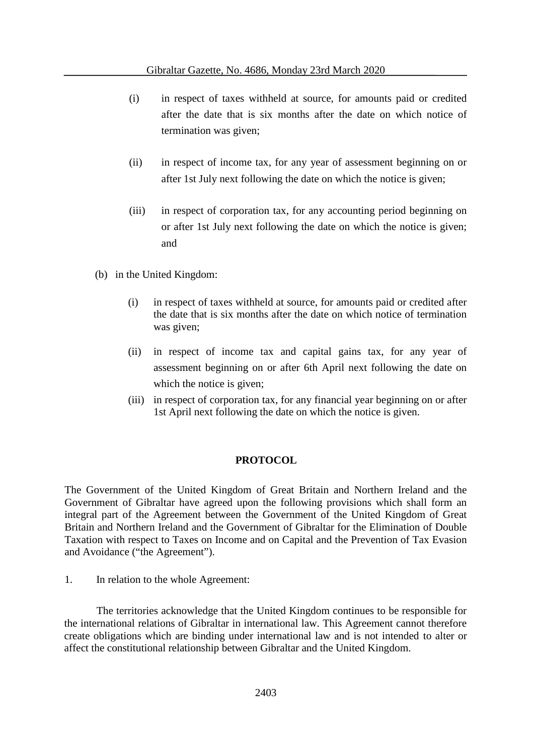- (i) in respect of taxes withheld at source, for amounts paid or credited after the date that is six months after the date on which notice of termination was given;
- (ii) in respect of income tax, for any year of assessment beginning on or after 1st July next following the date on which the notice is given;
- (iii) in respect of corporation tax, for any accounting period beginning on or after 1st July next following the date on which the notice is given; and
- (b) in the United Kingdom:
	- (i) in respect of taxes withheld at source, for amounts paid or credited after the date that is six months after the date on which notice of termination was given;
	- (ii) in respect of income tax and capital gains tax, for any year of assessment beginning on or after 6th April next following the date on which the notice is given;
	- (iii) in respect of corporation tax, for any financial year beginning on or after 1st April next following the date on which the notice is given.

#### **PROTOCOL**

The Government of the United Kingdom of Great Britain and Northern Ireland and the Government of Gibraltar have agreed upon the following provisions which shall form an integral part of the Agreement between the Government of the United Kingdom of Great Britain and Northern Ireland and the Government of Gibraltar for the Elimination of Double Taxation with respect to Taxes on Income and on Capital and the Prevention of Tax Evasion and Avoidance ("the Agreement").

1. In relation to the whole Agreement:

The territories acknowledge that the United Kingdom continues to be responsible for the international relations of Gibraltar in international law. This Agreement cannot therefore create obligations which are binding under international law and is not intended to alter or affect the constitutional relationship between Gibraltar and the United Kingdom.